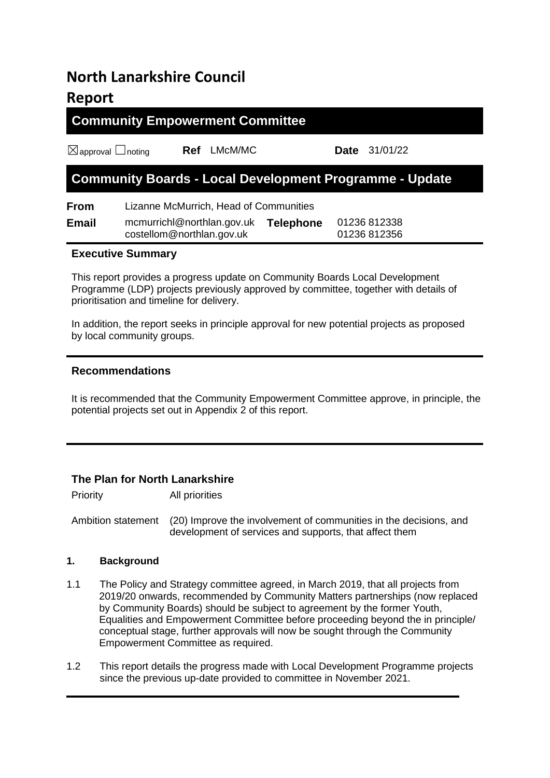# **North Lanarkshire Council Report**

## **Community Empowerment Committee**

☒approval ☐noting **Ref** LMcM/MC **Date** 31/01/22

## **Community Boards - Local Development Programme - Update**

**From** Lizanne McMurrich, Head of Communities

| Email | mcmurrichl@northlan.gov.uk | <b>Telephone</b> | 01236 812338 |
|-------|----------------------------|------------------|--------------|
|       | costellom@northlan.gov.uk  |                  | 01236 812356 |

### **Executive Summary**

This report provides a progress update on Community Boards Local Development Programme (LDP) projects previously approved by committee, together with details of prioritisation and timeline for delivery.

In addition, the report seeks in principle approval for new potential projects as proposed by local community groups.

#### **Recommendations**

It is recommended that the Community Empowerment Committee approve, in principle, the potential projects set out in Appendix 2 of this report.

### **The Plan for North Lanarkshire**

Priority All priorities

Ambition statement (20) Improve the involvement of communities in the decisions, and development of services and supports, that affect them

#### **1. Background**

- 1.1 The Policy and Strategy committee agreed, in March 2019, that all projects from 2019/20 onwards, recommended by Community Matters partnerships (now replaced by Community Boards) should be subject to agreement by the former Youth, Equalities and Empowerment Committee before proceeding beyond the in principle/ conceptual stage, further approvals will now be sought through the Community Empowerment Committee as required.
- 1.2 This report details the progress made with Local Development Programme projects since the previous up-date provided to committee in November 2021.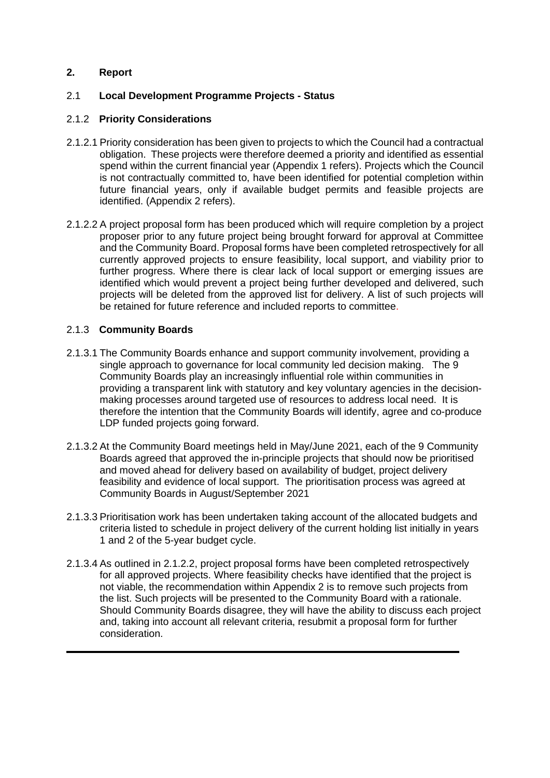#### **2. Report**

#### 2.1 **Local Development Programme Projects - Status**

#### 2.1.2 **Priority Considerations**

- 2.1.2.1 Priority consideration has been given to projects to which the Council had a contractual obligation. These projects were therefore deemed a priority and identified as essential spend within the current financial year (Appendix 1 refers). Projects which the Council is not contractually committed to, have been identified for potential completion within future financial years, only if available budget permits and feasible projects are identified. (Appendix 2 refers).
- 2.1.2.2 A project proposal form has been produced which will require completion by a project proposer prior to any future project being brought forward for approval at Committee and the Community Board. Proposal forms have been completed retrospectively for all currently approved projects to ensure feasibility, local support, and viability prior to further progress. Where there is clear lack of local support or emerging issues are identified which would prevent a project being further developed and delivered, such projects will be deleted from the approved list for delivery. A list of such projects will be retained for future reference and included reports to committee.

#### 2.1.3 **Community Boards**

- 2.1.3.1 The Community Boards enhance and support community involvement, providing a single approach to governance for local community led decision making. The 9 Community Boards play an increasingly influential role within communities in providing a transparent link with statutory and key voluntary agencies in the decisionmaking processes around targeted use of resources to address local need. It is therefore the intention that the Community Boards will identify, agree and co-produce LDP funded projects going forward.
- 2.1.3.2 At the Community Board meetings held in May/June 2021, each of the 9 Community Boards agreed that approved the in-principle projects that should now be prioritised and moved ahead for delivery based on availability of budget, project delivery feasibility and evidence of local support. The prioritisation process was agreed at Community Boards in August/September 2021
- 2.1.3.3 Prioritisation work has been undertaken taking account of the allocated budgets and criteria listed to schedule in project delivery of the current holding list initially in years 1 and 2 of the 5-year budget cycle.
- 2.1.3.4 As outlined in 2.1.2.2, project proposal forms have been completed retrospectively for all approved projects. Where feasibility checks have identified that the project is not viable, the recommendation within Appendix 2 is to remove such projects from the list. Such projects will be presented to the Community Board with a rationale. Should Community Boards disagree, they will have the ability to discuss each project and, taking into account all relevant criteria, resubmit a proposal form for further consideration.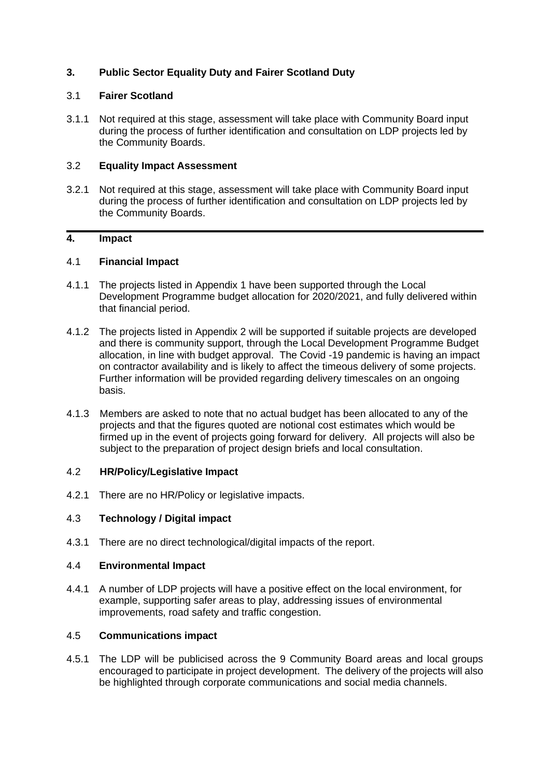#### **3. Public Sector Equality Duty and Fairer Scotland Duty**

#### 3.1 **Fairer Scotland**

3.1.1 Not required at this stage, assessment will take place with Community Board input during the process of further identification and consultation on LDP projects led by the Community Boards.

#### 3.2 **Equality Impact Assessment**

3.2.1 Not required at this stage, assessment will take place with Community Board input during the process of further identification and consultation on LDP projects led by the Community Boards.

### **4. Impact**

#### 4.1 **Financial Impact**

- 4.1.1 The projects listed in Appendix 1 have been supported through the Local Development Programme budget allocation for 2020/2021, and fully delivered within that financial period.
- 4.1.2 The projects listed in Appendix 2 will be supported if suitable projects are developed and there is community support, through the Local Development Programme Budget allocation, in line with budget approval. The Covid -19 pandemic is having an impact on contractor availability and is likely to affect the timeous delivery of some projects. Further information will be provided regarding delivery timescales on an ongoing basis.
- 4.1.3 Members are asked to note that no actual budget has been allocated to any of the projects and that the figures quoted are notional cost estimates which would be firmed up in the event of projects going forward for delivery. All projects will also be subject to the preparation of project design briefs and local consultation.

#### 4.2 **HR/Policy/Legislative Impact**

4.2.1 There are no HR/Policy or legislative impacts.

#### 4.3 **Technology / Digital impact**

4.3.1 There are no direct technological/digital impacts of the report.

#### 4.4 **Environmental Impact**

4.4.1 A number of LDP projects will have a positive effect on the local environment, for example, supporting safer areas to play, addressing issues of environmental improvements, road safety and traffic congestion.

#### 4.5 **Communications impact**

4.5.1 The LDP will be publicised across the 9 Community Board areas and local groups encouraged to participate in project development. The delivery of the projects will also be highlighted through corporate communications and social media channels.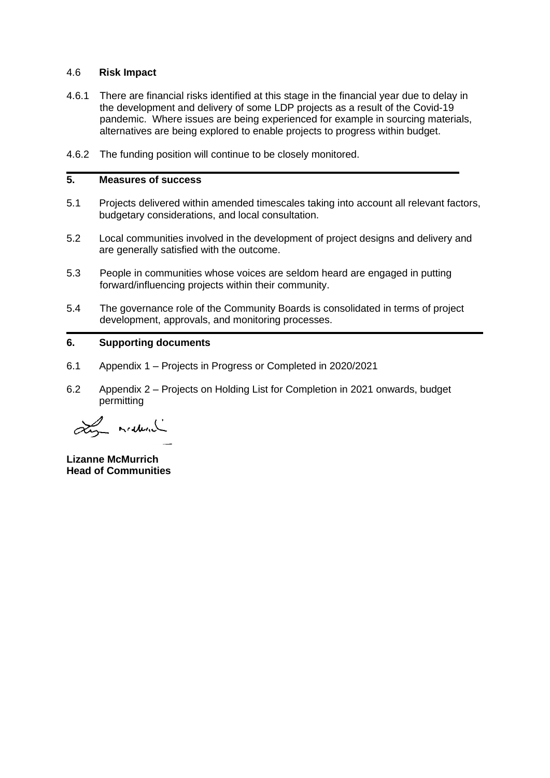#### 4.6 **Risk Impact**

- 4.6.1 There are financial risks identified at this stage in the financial year due to delay in the development and delivery of some LDP projects as a result of the Covid-19 pandemic. Where issues are being experienced for example in sourcing materials, alternatives are being explored to enable projects to progress within budget.
- 4.6.2 The funding position will continue to be closely monitored.

#### **5. Measures of success**

- 5.1 Projects delivered within amended timescales taking into account all relevant factors, budgetary considerations, and local consultation.
- 5.2 Local communities involved in the development of project designs and delivery and are generally satisfied with the outcome.
- 5.3 People in communities whose voices are seldom heard are engaged in putting forward/influencing projects within their community.
- 5.4 The governance role of the Community Boards is consolidated in terms of project development, approvals, and monitoring processes.

#### **6. Supporting documents**

- 6.1 Appendix 1 Projects in Progress or Completed in 2020/2021
- 6.2 Appendix 2 Projects on Holding List for Completion in 2021 onwards, budget permitting

Line midney

**Lizanne McMurrich Head of Communities**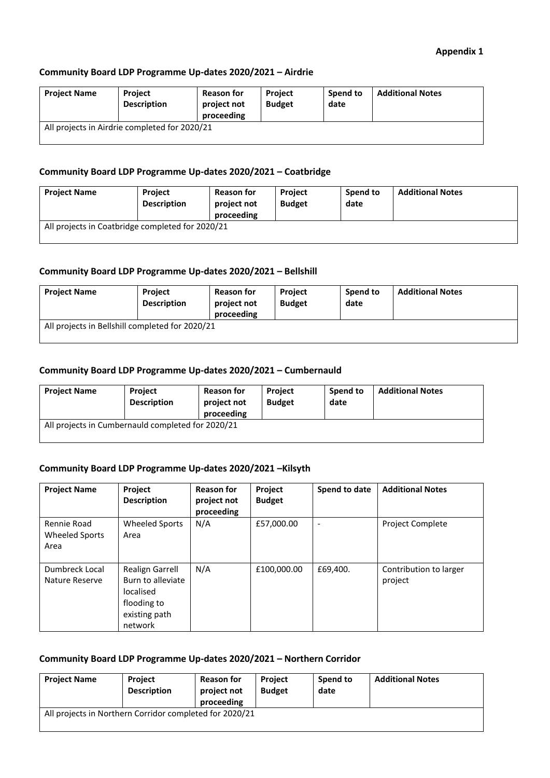#### **Community Board LDP Programme Up-dates 2020/2021 – Airdrie**

| <b>Project Name</b>                           | <b>Project</b><br><b>Description</b> | <b>Reason for</b><br>project not<br>proceeding | <b>Project</b><br><b>Budget</b> | Spend to<br>date | <b>Additional Notes</b> |
|-----------------------------------------------|--------------------------------------|------------------------------------------------|---------------------------------|------------------|-------------------------|
| All projects in Airdrie completed for 2020/21 |                                      |                                                |                                 |                  |                         |

#### **Community Board LDP Programme Up-dates 2020/2021 – Coatbridge**

| <b>Project Name</b>                              | <b>Project</b><br><b>Description</b> | <b>Reason for</b><br>project not<br>proceeding | <b>Project</b><br><b>Budget</b> | Spend to<br>date | <b>Additional Notes</b> |
|--------------------------------------------------|--------------------------------------|------------------------------------------------|---------------------------------|------------------|-------------------------|
| All projects in Coatbridge completed for 2020/21 |                                      |                                                |                                 |                  |                         |

#### **Community Board LDP Programme Up-dates 2020/2021 – Bellshill**

| <b>Project Name</b>                             | Project<br><b>Description</b> | <b>Reason for</b><br>project not<br>proceeding | <b>Project</b><br><b>Budget</b> | Spend to<br>date | <b>Additional Notes</b> |
|-------------------------------------------------|-------------------------------|------------------------------------------------|---------------------------------|------------------|-------------------------|
| All projects in Bellshill completed for 2020/21 |                               |                                                |                                 |                  |                         |

#### **Community Board LDP Programme Up-dates 2020/2021 – Cumbernauld**

| <b>Project Name</b>                               | <b>Project</b><br><b>Description</b> | <b>Reason for</b><br>project not<br>proceeding | <b>Project</b><br><b>Budget</b> | Spend to<br>date | <b>Additional Notes</b> |
|---------------------------------------------------|--------------------------------------|------------------------------------------------|---------------------------------|------------------|-------------------------|
| All projects in Cumbernauld completed for 2020/21 |                                      |                                                |                                 |                  |                         |

#### **Community Board LDP Programme Up-dates 2020/2021 –Kilsyth**

| <b>Project Name</b>                   | Project<br><b>Description</b>                                                                | <b>Reason for</b><br>project not<br>proceeding | Project<br><b>Budget</b> | Spend to date | <b>Additional Notes</b>           |
|---------------------------------------|----------------------------------------------------------------------------------------------|------------------------------------------------|--------------------------|---------------|-----------------------------------|
| Rennie Road<br>Wheeled Sports<br>Area | Wheeled Sports<br>Area                                                                       | N/A                                            | £57,000.00               |               | <b>Project Complete</b>           |
| Dumbreck Local<br>Nature Reserve      | Realign Garrell<br>Burn to alleviate<br>localised<br>flooding to<br>existing path<br>network | N/A                                            | £100,000.00              | £69,400.      | Contribution to larger<br>project |

#### **Community Board LDP Programme Up-dates 2020/2021 – Northern Corridor**

| <b>Project Name</b>                                     | Project<br><b>Description</b> | <b>Reason for</b><br>project not<br>proceeding | <b>Project</b><br><b>Budget</b> | Spend to<br>date | <b>Additional Notes</b> |
|---------------------------------------------------------|-------------------------------|------------------------------------------------|---------------------------------|------------------|-------------------------|
| All projects in Northern Corridor completed for 2020/21 |                               |                                                |                                 |                  |                         |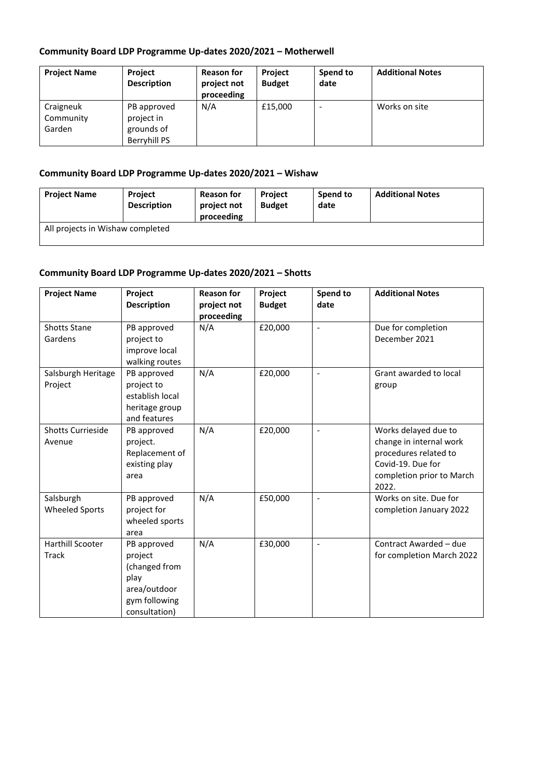## **Community Board LDP Programme Up-dates 2020/2021 – Motherwell**

| <b>Project Name</b>              | <b>Project</b><br><b>Description</b>                    | <b>Reason for</b><br>project not<br>proceeding | <b>Project</b><br><b>Budget</b> | Spend to<br>date | <b>Additional Notes</b> |
|----------------------------------|---------------------------------------------------------|------------------------------------------------|---------------------------------|------------------|-------------------------|
| Craigneuk<br>Community<br>Garden | PB approved<br>project in<br>grounds of<br>Berryhill PS | N/A                                            | £15,000                         | -                | Works on site           |

### **Community Board LDP Programme Up-dates 2020/2021 – Wishaw**

| <b>Project Name</b>              | Project<br><b>Description</b> | <b>Reason for</b><br>project not<br>proceeding | <b>Project</b><br><b>Budget</b> | Spend to<br>date | <b>Additional Notes</b> |
|----------------------------------|-------------------------------|------------------------------------------------|---------------------------------|------------------|-------------------------|
| All projects in Wishaw completed |                               |                                                |                                 |                  |                         |

### **Community Board LDP Programme Up-dates 2020/2021 – Shotts**

| <b>Project Name</b>                     | Project<br><b>Description</b>                                                                     | <b>Reason for</b><br>project not<br>proceeding | Project<br><b>Budget</b> | Spend to<br>date | <b>Additional Notes</b>                                                                                                             |
|-----------------------------------------|---------------------------------------------------------------------------------------------------|------------------------------------------------|--------------------------|------------------|-------------------------------------------------------------------------------------------------------------------------------------|
| <b>Shotts Stane</b><br>Gardens          | PB approved<br>project to<br>improve local<br>walking routes                                      | N/A                                            | £20,000                  | $\overline{a}$   | Due for completion<br>December 2021                                                                                                 |
| Salsburgh Heritage<br>Project           | PB approved<br>project to<br>establish local<br>heritage group<br>and features                    | N/A                                            | £20,000                  |                  | Grant awarded to local<br>group                                                                                                     |
| <b>Shotts Currieside</b><br>Avenue      | PB approved<br>project.<br>Replacement of<br>existing play<br>area                                | N/A                                            | £20,000                  | $\overline{a}$   | Works delayed due to<br>change in internal work<br>procedures related to<br>Covid-19. Due for<br>completion prior to March<br>2022. |
| Salsburgh<br><b>Wheeled Sports</b>      | PB approved<br>project for<br>wheeled sports<br>area                                              | N/A                                            | £50,000                  | L,               | Works on site. Due for<br>completion January 2022                                                                                   |
| <b>Harthill Scooter</b><br><b>Track</b> | PB approved<br>project<br>(changed from<br>play<br>area/outdoor<br>gym following<br>consultation) | N/A                                            | £30,000                  | $\overline{a}$   | Contract Awarded - due<br>for completion March 2022                                                                                 |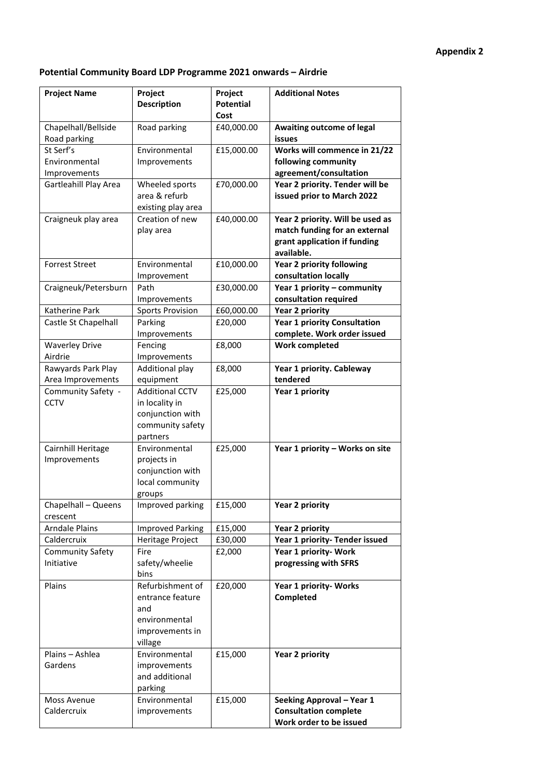## **Potential Community Board LDP Programme 2021 onwards – Airdrie**

| <b>Project Name</b>                                  | Project<br><b>Description</b>                                                                | Project<br><b>Potential</b><br>Cost | <b>Additional Notes</b>                                                                                         |
|------------------------------------------------------|----------------------------------------------------------------------------------------------|-------------------------------------|-----------------------------------------------------------------------------------------------------------------|
| Chapelhall/Bellside<br>Road parking                  | Road parking                                                                                 | £40,000.00                          | <b>Awaiting outcome of legal</b><br>issues                                                                      |
| St Serf's<br>Environmental<br>Improvements           | Environmental<br>Improvements                                                                | £15,000.00                          | Works will commence in 21/22<br>following community<br>agreement/consultation                                   |
| Gartleahill Play Area                                | Wheeled sports<br>area & refurb<br>existing play area                                        | £70,000.00                          | Year 2 priority. Tender will be<br>issued prior to March 2022                                                   |
| Craigneuk play area                                  | Creation of new<br>play area                                                                 | £40,000.00                          | Year 2 priority. Will be used as<br>match funding for an external<br>grant application if funding<br>available. |
| <b>Forrest Street</b>                                | Environmental<br>Improvement                                                                 | £10,000.00                          | <b>Year 2 priority following</b><br>consultation locally                                                        |
| Craigneuk/Petersburn                                 | Path<br>Improvements                                                                         | £30,000.00                          | Year 1 priority - community<br>consultation required                                                            |
| Katherine Park<br>Castle St Chapelhall               | <b>Sports Provision</b><br>Parking                                                           | £60,000.00<br>£20,000               | <b>Year 2 priority</b><br><b>Year 1 priority Consultation</b>                                                   |
|                                                      | Improvements                                                                                 |                                     | complete. Work order issued                                                                                     |
| <b>Waverley Drive</b><br>Airdrie                     | Fencing<br>Improvements                                                                      | £8,000                              | <b>Work completed</b>                                                                                           |
| Rawyards Park Play<br>Area Improvements              | Additional play<br>equipment                                                                 | £8,000                              | Year 1 priority. Cableway<br>tendered                                                                           |
| Community Safety -<br><b>CCTV</b>                    | <b>Additional CCTV</b><br>in locality in<br>conjunction with<br>community safety<br>partners | £25,000                             | Year 1 priority                                                                                                 |
| Cairnhill Heritage<br>Improvements                   | Environmental<br>projects in<br>conjunction with<br>local community<br>groups                | £25,000                             | Year 1 priority - Works on site                                                                                 |
| Chapelhall - Queens<br>crescent                      | Improved parking                                                                             | £15,000                             | <b>Year 2 priority</b>                                                                                          |
| <b>Arndale Plains</b>                                | <b>Improved Parking</b>                                                                      | £15,000                             | <b>Year 2 priority</b>                                                                                          |
| Caldercruix<br><b>Community Safety</b><br>Initiative | Heritage Project<br>Fire<br>safety/wheelie<br>bins                                           | £30,000<br>£2,000                   | Year 1 priority- Tender issued<br>Year 1 priority- Work<br>progressing with SFRS                                |
| Plains                                               | Refurbishment of<br>entrance feature<br>and<br>environmental<br>improvements in<br>village   | £20,000                             | Year 1 priority- Works<br>Completed                                                                             |
| Plains - Ashlea<br>Gardens                           | Environmental<br>improvements<br>and additional<br>parking                                   | £15,000                             | <b>Year 2 priority</b>                                                                                          |
| Moss Avenue<br>Caldercruix                           | Environmental<br>improvements                                                                | £15,000                             | Seeking Approval - Year 1<br><b>Consultation complete</b><br>Work order to be issued                            |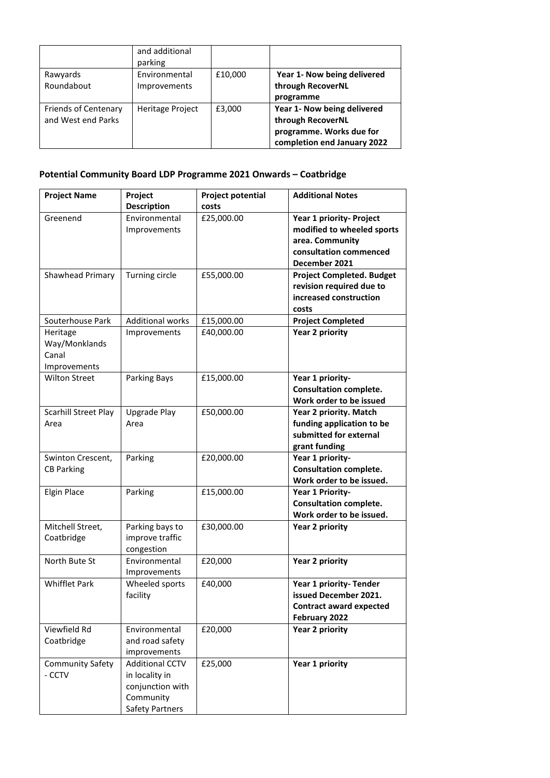|                                                   | and additional<br>parking     |         |                                                                                                             |
|---------------------------------------------------|-------------------------------|---------|-------------------------------------------------------------------------------------------------------------|
| Rawyards<br>Roundabout                            | Environmental<br>Improvements | £10,000 | Year 1- Now being delivered<br>through RecoverNL<br>programme                                               |
| <b>Friends of Centenary</b><br>and West end Parks | <b>Heritage Project</b>       | £3,000  | Year 1- Now being delivered<br>through RecoverNL<br>programme. Works due for<br>completion end January 2022 |

## **Potential Community Board LDP Programme 2021 Onwards – Coatbridge**

| <b>Project Name</b>                                | Project                                                                                      | <b>Project potential</b> | <b>Additional Notes</b>                                                                                              |
|----------------------------------------------------|----------------------------------------------------------------------------------------------|--------------------------|----------------------------------------------------------------------------------------------------------------------|
|                                                    | <b>Description</b>                                                                           | costs                    |                                                                                                                      |
| Greenend                                           | Environmental<br>Improvements                                                                | £25,000.00               | Year 1 priority- Project<br>modified to wheeled sports<br>area. Community<br>consultation commenced<br>December 2021 |
| Shawhead Primary                                   | Turning circle                                                                               | £55,000.00               | <b>Project Completed. Budget</b><br>revision required due to<br>increased construction<br>costs                      |
| Souterhouse Park                                   | <b>Additional works</b>                                                                      | £15,000.00               | <b>Project Completed</b>                                                                                             |
| Heritage<br>Way/Monklands<br>Canal<br>Improvements | Improvements                                                                                 | £40,000.00               | <b>Year 2 priority</b>                                                                                               |
| <b>Wilton Street</b>                               | Parking Bays                                                                                 | £15,000.00               | Year 1 priority-<br><b>Consultation complete.</b><br>Work order to be issued                                         |
| <b>Scarhill Street Play</b><br>Area                | <b>Upgrade Play</b><br>Area                                                                  | £50,000.00               | Year 2 priority. Match<br>funding application to be<br>submitted for external<br>grant funding                       |
| Swinton Crescent,<br><b>CB Parking</b>             | Parking                                                                                      | £20,000.00               | Year 1 priority-<br><b>Consultation complete.</b><br>Work order to be issued.                                        |
| <b>Elgin Place</b>                                 | Parking                                                                                      | £15,000.00               | Year 1 Priority-<br><b>Consultation complete.</b><br>Work order to be issued.                                        |
| Mitchell Street,<br>Coatbridge                     | Parking bays to<br>improve traffic<br>congestion                                             | £30,000.00               | <b>Year 2 priority</b>                                                                                               |
| North Bute St                                      | Environmental<br>Improvements                                                                | £20,000                  | <b>Year 2 priority</b>                                                                                               |
| <b>Whifflet Park</b>                               | Wheeled sports<br>facility                                                                   | £40,000                  | Year 1 priority- Tender<br>issued December 2021.<br><b>Contract award expected</b><br>February 2022                  |
| Viewfield Rd<br>Coatbridge                         | Environmental<br>and road safety<br>improvements                                             | £20,000                  | <b>Year 2 priority</b>                                                                                               |
| <b>Community Safety</b><br>- CCTV                  | <b>Additional CCTV</b><br>in locality in<br>conjunction with<br>Community<br>Safety Partners | £25,000                  | Year 1 priority                                                                                                      |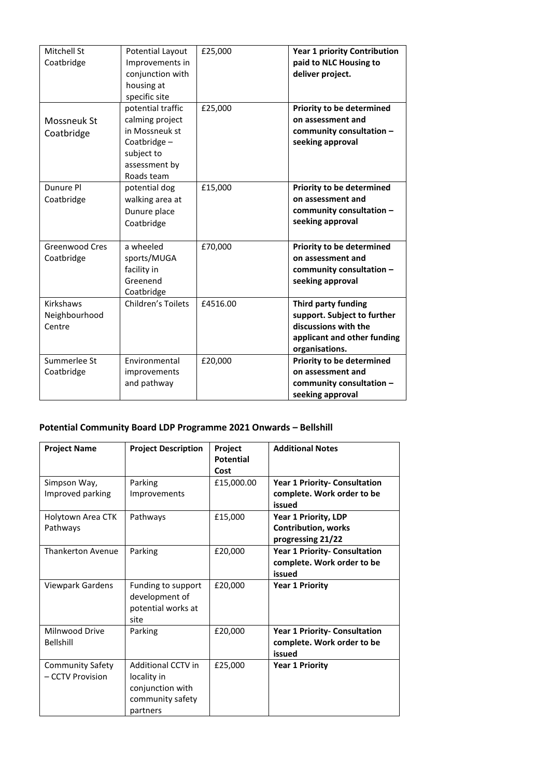| Mitchell St<br>Coatbridge            | Potential Layout<br>Improvements in<br>conjunction with<br>housing at<br>specific site                             | £25,000  | <b>Year 1 priority Contribution</b><br>paid to NLC Housing to<br>deliver project.                                           |
|--------------------------------------|--------------------------------------------------------------------------------------------------------------------|----------|-----------------------------------------------------------------------------------------------------------------------------|
| Mossneuk St<br>Coatbridge            | potential traffic<br>calming project<br>in Mossneuk st<br>Coatbridge-<br>subject to<br>assessment by<br>Roads team | £25,000  | Priority to be determined<br>on assessment and<br>community consultation -<br>seeking approval                              |
| Dunure Pl<br>Coatbridge              | potential dog<br>walking area at<br>Dunure place<br>Coatbridge                                                     | £15,000  | Priority to be determined<br>on assessment and<br>community consultation -<br>seeking approval                              |
| <b>Greenwood Cres</b><br>Coatbridge  | a wheeled<br>sports/MUGA<br>facility in<br>Greenend<br>Coatbridge                                                  | £70,000  | <b>Priority to be determined</b><br>on assessment and<br>community consultation -<br>seeking approval                       |
| Kirkshaws<br>Neighbourhood<br>Centre | Children's Toilets                                                                                                 | £4516.00 | Third party funding<br>support. Subject to further<br>discussions with the<br>applicant and other funding<br>organisations. |
| Summerlee St<br>Coatbridge           | Environmental<br>improvements<br>and pathway                                                                       | £20,000  | Priority to be determined<br>on assessment and<br>community consultation -<br>seeking approval                              |

## **Potential Community Board LDP Programme 2021 Onwards – Bellshill**

| <b>Project Name</b>                         | <b>Project Description</b>                                                                   | Project<br><b>Potential</b><br>Cost | <b>Additional Notes</b>                                                        |
|---------------------------------------------|----------------------------------------------------------------------------------------------|-------------------------------------|--------------------------------------------------------------------------------|
| Simpson Way,<br>Improved parking            | Parking<br>Improvements                                                                      | £15,000.00                          | <b>Year 1 Priority- Consultation</b><br>complete. Work order to be<br>issued   |
| Holytown Area CTK<br>Pathways               | Pathways                                                                                     | £15,000                             | <b>Year 1 Priority, LDP</b><br><b>Contribution, works</b><br>progressing 21/22 |
| <b>Thankerton Avenue</b>                    | Parking                                                                                      | £20,000                             | <b>Year 1 Priority- Consultation</b><br>complete. Work order to be<br>issued   |
| Viewpark Gardens                            | Funding to support<br>development of<br>potential works at<br>site                           | £20,000                             | <b>Year 1 Priority</b>                                                         |
| Milnwood Drive<br>Bellshill                 | Parking                                                                                      | £20,000                             | <b>Year 1 Priority- Consultation</b><br>complete. Work order to be<br>issued   |
| <b>Community Safety</b><br>- CCTV Provision | <b>Additional CCTV in</b><br>locality in<br>conjunction with<br>community safety<br>partners | £25,000                             | <b>Year 1 Priority</b>                                                         |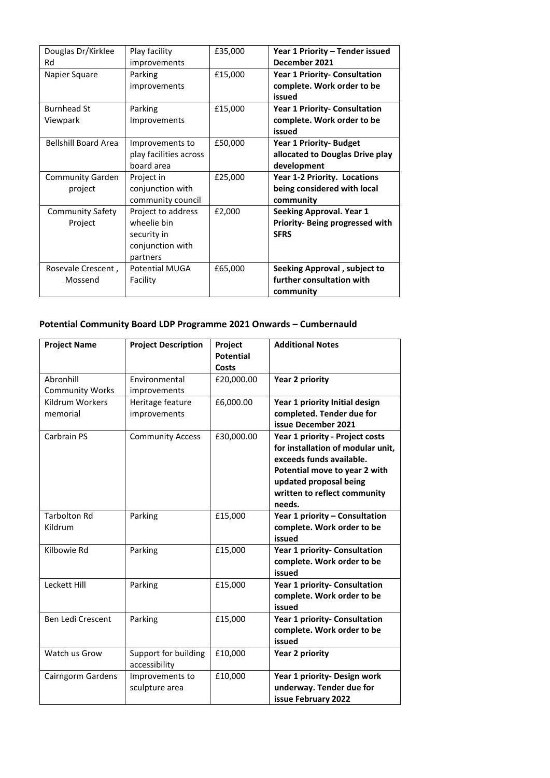| Douglas Dr/Kirklee<br>Rd           | Play facility<br>improvements                                                    | £35,000 | Year 1 Priority - Tender issued<br>December 2021                                 |
|------------------------------------|----------------------------------------------------------------------------------|---------|----------------------------------------------------------------------------------|
| Napier Square                      | Parking<br>improvements                                                          | £15,000 | Year 1 Priority- Consultation<br>complete. Work order to be<br>issued            |
| <b>Burnhead St</b><br>Viewpark     | Parking<br>Improvements                                                          | £15,000 | <b>Year 1 Priority- Consultation</b><br>complete. Work order to be<br>issued     |
| <b>Bellshill Board Area</b>        | Improvements to<br>play facilities across<br>board area                          | £50,000 | <b>Year 1 Priority- Budget</b><br>allocated to Douglas Drive play<br>development |
| <b>Community Garden</b><br>project | Project in<br>conjunction with<br>community council                              | £25,000 | Year 1-2 Priority. Locations<br>being considered with local<br>community         |
| <b>Community Safety</b><br>Project | Project to address<br>wheelie bin<br>security in<br>conjunction with<br>partners | £2,000  | Seeking Approval. Year 1<br>Priority- Being progressed with<br><b>SFRS</b>       |
| Rosevale Crescent,<br>Mossend      | <b>Potential MUGA</b><br>Facility                                                | £65,000 | Seeking Approval, subject to<br>further consultation with<br>community           |

## **Potential Community Board LDP Programme 2021 Onwards – Cumbernauld**

| <b>Project Name</b>                 | <b>Project Description</b>            | Project<br><b>Potential</b><br><b>Costs</b> | <b>Additional Notes</b>                                                                                                                                                                               |
|-------------------------------------|---------------------------------------|---------------------------------------------|-------------------------------------------------------------------------------------------------------------------------------------------------------------------------------------------------------|
| Abronhill<br><b>Community Works</b> | Environmental<br>improvements         | £20,000.00                                  | <b>Year 2 priority</b>                                                                                                                                                                                |
| <b>Kildrum Workers</b><br>memorial  | Heritage feature<br>improvements      | £6,000.00                                   | Year 1 priority Initial design<br>completed. Tender due for<br>issue December 2021                                                                                                                    |
| Carbrain PS                         | <b>Community Access</b>               | £30,000.00                                  | Year 1 priority - Project costs<br>for installation of modular unit,<br>exceeds funds available.<br>Potential move to year 2 with<br>updated proposal being<br>written to reflect community<br>needs. |
| <b>Tarbolton Rd</b><br>Kildrum      | Parking                               | £15,000                                     | Year 1 priority - Consultation<br>complete. Work order to be<br>issued                                                                                                                                |
| Kilbowie Rd                         | Parking                               | £15,000                                     | Year 1 priority- Consultation<br>complete. Work order to be<br>issued                                                                                                                                 |
| Leckett Hill                        | Parking                               | £15,000                                     | Year 1 priority- Consultation<br>complete. Work order to be<br>issued                                                                                                                                 |
| Ben Ledi Crescent                   | Parking                               | £15,000                                     | Year 1 priority- Consultation<br>complete. Work order to be<br>issued                                                                                                                                 |
| Watch us Grow                       | Support for building<br>accessibility | £10,000                                     | <b>Year 2 priority</b>                                                                                                                                                                                |
| Cairngorm Gardens                   | Improvements to<br>sculpture area     | £10,000                                     | Year 1 priority- Design work<br>underway. Tender due for<br>issue February 2022                                                                                                                       |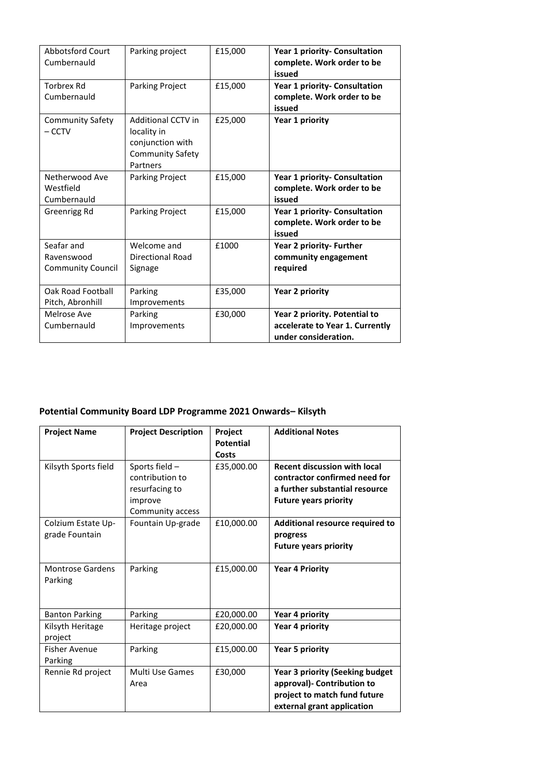| Abbotsford Court<br>Cumbernauld                      | Parking project                                                                              | £15,000 | Year 1 priority- Consultation<br>complete. Work order to be<br>issued                    |
|------------------------------------------------------|----------------------------------------------------------------------------------------------|---------|------------------------------------------------------------------------------------------|
| Torbrex Rd<br>Cumbernauld                            | <b>Parking Project</b>                                                                       | £15,000 | Year 1 priority- Consultation<br>complete. Work order to be<br>issued                    |
| <b>Community Safety</b><br>$-$ CCTV                  | Additional CCTV in<br>locality in<br>conjunction with<br><b>Community Safety</b><br>Partners | £25,000 | Year 1 priority                                                                          |
| Netherwood Ave<br>Westfield<br>Cumbernauld           | Parking Project                                                                              | £15,000 | Year 1 priority- Consultation<br>complete. Work order to be<br>issued                    |
| Greenrigg Rd                                         | <b>Parking Project</b>                                                                       | £15,000 | Year 1 priority- Consultation<br>complete. Work order to be<br>issued                    |
| Seafar and<br>Ravenswood<br><b>Community Council</b> | Welcome and<br>Directional Road<br>Signage                                                   | £1000   | Year 2 priority- Further<br>community engagement<br>required                             |
| Oak Road Football<br>Pitch, Abronhill                | Parking<br>Improvements                                                                      | £35,000 | Year 2 priority                                                                          |
| Melrose Ave<br>Cumbernauld                           | Parking<br>Improvements                                                                      | £30,000 | Year 2 priority. Potential to<br>accelerate to Year 1. Currently<br>under consideration. |

## **Potential Community Board LDP Programme 2021 Onwards– Kilsyth**

| <b>Project Name</b>                  | <b>Project Description</b>                                                         | Project<br><b>Potential</b><br>Costs | <b>Additional Notes</b>                                                                                                                |
|--------------------------------------|------------------------------------------------------------------------------------|--------------------------------------|----------------------------------------------------------------------------------------------------------------------------------------|
| Kilsyth Sports field                 | Sports field -<br>contribution to<br>resurfacing to<br>improve<br>Community access | £35,000.00                           | <b>Recent discussion with local</b><br>contractor confirmed need for<br>a further substantial resource<br><b>Future years priority</b> |
| Colzium Estate Up-<br>grade Fountain | Fountain Up-grade                                                                  | £10,000.00                           | Additional resource required to<br>progress<br><b>Future years priority</b>                                                            |
| <b>Montrose Gardens</b><br>Parking   | Parking                                                                            | £15,000.00                           | <b>Year 4 Priority</b>                                                                                                                 |
| <b>Banton Parking</b>                | Parking                                                                            | £20,000.00                           | Year 4 priority                                                                                                                        |
| Kilsyth Heritage<br>project          | Heritage project                                                                   | £20,000.00                           | Year 4 priority                                                                                                                        |
| <b>Fisher Avenue</b><br>Parking      | Parking                                                                            | £15,000.00                           | <b>Year 5 priority</b>                                                                                                                 |
| Rennie Rd project                    | Multi Use Games<br>Area                                                            | £30.000                              | <b>Year 3 priority (Seeking budget</b><br>approval)- Contribution to<br>project to match fund future<br>external grant application     |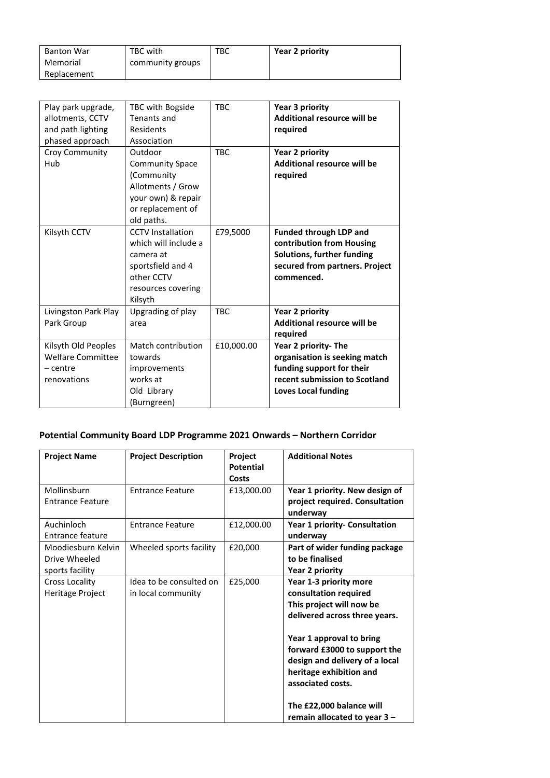| <b>Banton War</b> | TBC with         | TBC | Year 2 priority |
|-------------------|------------------|-----|-----------------|
| Memorial          | community groups |     |                 |
| Replacement       |                  |     |                 |

| Play park upgrade,<br>allotments, CCTV<br>and path lighting<br>phased approach | TBC with Bogside<br>Tenants and<br>Residents<br>Association                                                                       | <b>TBC</b> | Year 3 priority<br><b>Additional resource will be</b><br>required                                                                                 |
|--------------------------------------------------------------------------------|-----------------------------------------------------------------------------------------------------------------------------------|------------|---------------------------------------------------------------------------------------------------------------------------------------------------|
| Croy Community<br>Hub                                                          | Outdoor<br><b>Community Space</b><br>(Community<br>Allotments / Grow<br>your own) & repair<br>or replacement of<br>old paths.     | <b>TBC</b> | Year 2 priority<br><b>Additional resource will be</b><br>required                                                                                 |
| Kilsyth CCTV                                                                   | <b>CCTV</b> Installation<br>which will include a<br>camera at<br>sportsfield and 4<br>other CCTV<br>resources covering<br>Kilsyth | £79,5000   | <b>Funded through LDP and</b><br>contribution from Housing<br>Solutions, further funding<br>secured from partners. Project<br>commenced.          |
| Livingston Park Play<br>Park Group                                             | Upgrading of play<br>area                                                                                                         | <b>TBC</b> | <b>Year 2 priority</b><br><b>Additional resource will be</b><br>required                                                                          |
| Kilsyth Old Peoples<br>Welfare Committee<br>– centre<br>renovations            | Match contribution<br>towards<br>improvements<br>works at<br>Old Library<br>(Burngreen)                                           | £10,000.00 | Year 2 priority- The<br>organisation is seeking match<br>funding support for their<br>recent submission to Scotland<br><b>Loves Local funding</b> |

## **Potential Community Board LDP Programme 2021 Onwards – Northern Corridor**

| <b>Project Name</b>                                    | <b>Project Description</b>                    | Project<br><b>Potential</b><br>Costs | <b>Additional Notes</b>                                                                                                                    |
|--------------------------------------------------------|-----------------------------------------------|--------------------------------------|--------------------------------------------------------------------------------------------------------------------------------------------|
| Mollinsburn<br><b>Entrance Feature</b>                 | <b>Entrance Feature</b>                       | £13,000.00                           | Year 1 priority. New design of<br>project required. Consultation<br>underway                                                               |
| Auchinloch<br><b>Entrance feature</b>                  | <b>Entrance Feature</b>                       | £12,000.00                           | Year 1 priority- Consultation<br>underway                                                                                                  |
| Moodiesburn Kelvin<br>Drive Wheeled<br>sports facility | Wheeled sports facility                       | £20,000                              | Part of wider funding package<br>to be finalised<br>Year 2 priority                                                                        |
| <b>Cross Locality</b><br><b>Heritage Project</b>       | Idea to be consulted on<br>in local community | £25,000                              | Year 1-3 priority more<br>consultation required<br>This project will now be<br>delivered across three years.                               |
|                                                        |                                               |                                      | Year 1 approval to bring<br>forward £3000 to support the<br>design and delivery of a local<br>heritage exhibition and<br>associated costs. |
|                                                        |                                               |                                      | The £22,000 balance will<br>remain allocated to year $3 -$                                                                                 |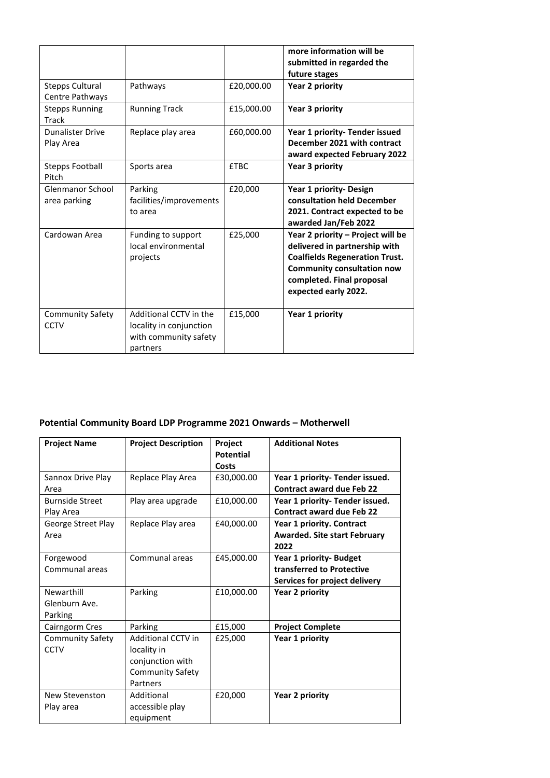|                                           |                                                                                        |             | more information will be<br>submitted in regarded the<br>future stages                                                                                                                                |
|-------------------------------------------|----------------------------------------------------------------------------------------|-------------|-------------------------------------------------------------------------------------------------------------------------------------------------------------------------------------------------------|
| <b>Stepps Cultural</b><br>Centre Pathways | Pathways                                                                               | £20,000.00  | Year 2 priority                                                                                                                                                                                       |
| <b>Stepps Running</b><br>Track            | <b>Running Track</b>                                                                   | £15,000.00  | Year 3 priority                                                                                                                                                                                       |
| <b>Dunalister Drive</b><br>Play Area      | Replace play area                                                                      | £60,000.00  | Year 1 priority- Tender issued<br>December 2021 with contract<br>award expected February 2022                                                                                                         |
| <b>Stepps Football</b><br>Pitch           | Sports area                                                                            | <b>£TBC</b> | Year 3 priority                                                                                                                                                                                       |
| Glenmanor School<br>area parking          | Parking<br>facilities/improvements<br>to area                                          | £20,000     | Year 1 priority- Design<br>consultation held December<br>2021. Contract expected to be<br>awarded Jan/Feb 2022                                                                                        |
| Cardowan Area                             | Funding to support<br>local environmental<br>projects                                  | £25,000     | Year 2 priority – Project will be<br>delivered in partnership with<br><b>Coalfields Regeneration Trust.</b><br><b>Community consultation now</b><br>completed. Final proposal<br>expected early 2022. |
| <b>Community Safety</b><br>CCTV           | Additional CCTV in the<br>locality in conjunction<br>with community safety<br>partners | £15,000     | Year 1 priority                                                                                                                                                                                       |

## **Potential Community Board LDP Programme 2021 Onwards – Motherwell**

| <b>Project Name</b>                    | <b>Project Description</b>                                                                          | Project<br><b>Potential</b><br>Costs | <b>Additional Notes</b>                                                               |
|----------------------------------------|-----------------------------------------------------------------------------------------------------|--------------------------------------|---------------------------------------------------------------------------------------|
| Sannox Drive Play<br>Area              | Replace Play Area                                                                                   | £30,000.00                           | Year 1 priority- Tender issued.<br><b>Contract award due Feb 22</b>                   |
| <b>Burnside Street</b><br>Play Area    | Play area upgrade                                                                                   | £10,000.00                           | Year 1 priority- Tender issued.<br><b>Contract award due Feb 22</b>                   |
| George Street Play<br>Area             | Replace Play area                                                                                   | £40,000.00                           | Year 1 priority. Contract<br><b>Awarded. Site start February</b><br>2022              |
| Forgewood<br>Communal areas            | Communal areas                                                                                      | £45,000.00                           | Year 1 priority- Budget<br>transferred to Protective<br>Services for project delivery |
| Newarthill<br>Glenburn Ave.<br>Parking | Parking                                                                                             | £10,000.00                           | Year 2 priority                                                                       |
| Cairngorm Cres                         | Parking                                                                                             | £15,000                              | <b>Project Complete</b>                                                               |
| Community Safety<br><b>CCTV</b>        | <b>Additional CCTV in</b><br>locality in<br>conjunction with<br><b>Community Safety</b><br>Partners | £25.000                              | Year 1 priority                                                                       |
| New Stevenston<br>Play area            | Additional<br>accessible play<br>equipment                                                          | £20,000                              | <b>Year 2 priority</b>                                                                |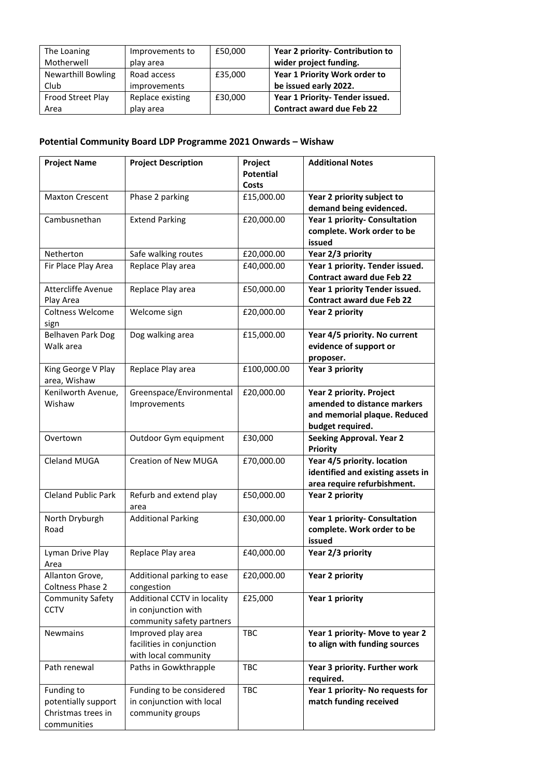| The Loaning               | Improvements to     | £50,000 | Year 2 priority- Contribution to |
|---------------------------|---------------------|---------|----------------------------------|
| Motherwell                | play area           |         | wider project funding.           |
| <b>Newarthill Bowling</b> | Road access         | £35,000 | Year 1 Priority Work order to    |
| Club                      | <i>improvements</i> |         | be issued early 2022.            |
| Frood Street Play         | Replace existing    | £30,000 | Year 1 Priority- Tender issued.  |
| Area                      | play area           |         | <b>Contract award due Feb 22</b> |

## **Potential Community Board LDP Programme 2021 Onwards – Wishaw**

| <b>Project Name</b>                    | <b>Project Description</b>                       | <b>Project</b>            | <b>Additional Notes</b>                                             |
|----------------------------------------|--------------------------------------------------|---------------------------|---------------------------------------------------------------------|
|                                        |                                                  | <b>Potential</b><br>Costs |                                                                     |
| <b>Maxton Crescent</b>                 | Phase 2 parking                                  | £15,000.00                | Year 2 priority subject to                                          |
|                                        |                                                  |                           | demand being evidenced.                                             |
| Cambusnethan                           | <b>Extend Parking</b>                            | £20,000.00                | <b>Year 1 priority- Consultation</b><br>complete. Work order to be  |
|                                        |                                                  |                           | issued                                                              |
| Netherton                              | Safe walking routes                              | £20,000.00                | Year 2/3 priority                                                   |
| Fir Place Play Area                    | Replace Play area                                | £40,000.00                | Year 1 priority. Tender issued.<br><b>Contract award due Feb 22</b> |
| <b>Attercliffe Avenue</b><br>Play Area | Replace Play area                                | £50,000.00                | Year 1 priority Tender issued.<br><b>Contract award due Feb 22</b>  |
| Coltness Welcome<br>sign               | Welcome sign                                     | £20,000.00                | <b>Year 2 priority</b>                                              |
| Belhaven Park Dog                      | Dog walking area                                 | £15,000.00                | Year 4/5 priority. No current                                       |
| Walk area                              |                                                  |                           | evidence of support or                                              |
|                                        |                                                  |                           | proposer.                                                           |
| King George V Play<br>area, Wishaw     | Replace Play area                                | £100,000.00               | <b>Year 3 priority</b>                                              |
| Kenilworth Avenue,                     | Greenspace/Environmental                         | £20,000.00                | <b>Year 2 priority. Project</b>                                     |
| Wishaw                                 | Improvements                                     |                           | amended to distance markers                                         |
|                                        |                                                  |                           | and memorial plaque. Reduced                                        |
|                                        |                                                  |                           | budget required.                                                    |
| Overtown                               | Outdoor Gym equipment                            | £30,000                   | <b>Seeking Approval. Year 2</b><br><b>Priority</b>                  |
| Cleland MUGA                           | Creation of New MUGA                             | £70,000.00                | Year 4/5 priority. location                                         |
|                                        |                                                  |                           | identified and existing assets in                                   |
|                                        |                                                  |                           | area require refurbishment.                                         |
| <b>Cleland Public Park</b>             | Refurb and extend play<br>area                   | £50,000.00                | <b>Year 2 priority</b>                                              |
| North Dryburgh<br>Road                 | <b>Additional Parking</b>                        | £30,000.00                | Year 1 priority- Consultation<br>complete. Work order to be         |
|                                        |                                                  |                           | issued                                                              |
| Lyman Drive Play<br>Area               | Replace Play area                                | £40,000.00                | Year 2/3 priority                                                   |
| Allanton Grove,<br>Coltness Phase 2    | Additional parking to ease<br>congestion         | £20,000.00                | <b>Year 2 priority</b>                                              |
| <b>Community Safety</b>                | Additional CCTV in locality                      | £25,000                   | Year 1 priority                                                     |
| <b>CCTV</b>                            | in conjunction with<br>community safety partners |                           |                                                                     |
| <b>Newmains</b>                        | Improved play area                               | TBC                       | Year 1 priority- Move to year 2                                     |
|                                        | facilities in conjunction                        |                           | to align with funding sources                                       |
|                                        | with local community                             |                           |                                                                     |
| Path renewal                           | Paths in Gowkthrapple                            | <b>TBC</b>                | Year 3 priority. Further work<br>required.                          |
| Funding to                             | Funding to be considered                         | <b>TBC</b>                | Year 1 priority- No requests for                                    |
| potentially support                    | in conjunction with local                        |                           | match funding received                                              |
| Christmas trees in                     | community groups                                 |                           |                                                                     |
| communities                            |                                                  |                           |                                                                     |